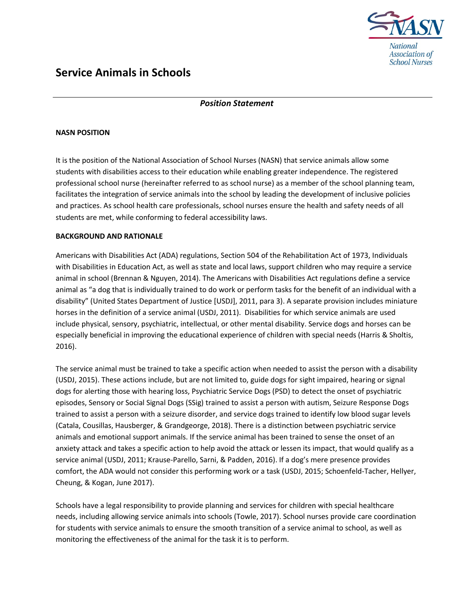

# Service Animals in Schools

## Position Statement

### NASN POSITION

It is the position of the National Association of School Nurses (NASN) that service animals allow some students with disabilities access to their education while enabling greater independence. The registered professional school nurse (hereinafter referred to as school nurse) as a member of the school planning team, facilitates the integration of service animals into the school by leading the development of inclusive policies and practices. As school health care professionals, school nurses ensure the health and safety needs of all students are met, while conforming to federal accessibility laws.

#### BACKGROUND AND RATIONALE

Americans with Disabilities Act (ADA) regulations, Section 504 of the Rehabilitation Act of 1973, Individuals with Disabilities in Education Act, as well as state and local laws, support children who may require a service animal in school (Brennan & Nguyen, 2014). The Americans with Disabilities Act regulations define a service animal as "a dog that is individually trained to do work or perform tasks for the benefit of an individual with a disability" (United States Department of Justice [USDJ], 2011, para 3). A separate provision includes miniature horses in the definition of a service animal (USDJ, 2011). Disabilities for which service animals are used include physical, sensory, psychiatric, intellectual, or other mental disability. Service dogs and horses can be especially beneficial in improving the educational experience of children with special needs (Harris & Sholtis, 2016).

The service animal must be trained to take a specific action when needed to assist the person with a disability (USDJ, 2015). These actions include, but are not limited to, guide dogs for sight impaired, hearing or signal dogs for alerting those with hearing loss, Psychiatric Service Dogs (PSD) to detect the onset of psychiatric episodes, Sensory or Social Signal Dogs (SSig) trained to assist a person with autism, Seizure Response Dogs trained to assist a person with a seizure disorder, and service dogs trained to identify low blood sugar levels (Catala, Cousillas, Hausberger, & Grandgeorge, 2018). There is a distinction between psychiatric service animals and emotional support animals. If the service animal has been trained to sense the onset of an anxiety attack and takes a specific action to help avoid the attack or lessen its impact, that would qualify as a service animal (USDJ, 2011; Krause-Parello, Sarni, & Padden, 2016). If a dog's mere presence provides comfort, the ADA would not consider this performing work or a task (USDJ, 2015; Schoenfeld-Tacher, Hellyer, Cheung, & Kogan, June 2017).

Schools have a legal responsibility to provide planning and services for children with special healthcare needs, including allowing service animals into schools (Towle, 2017). School nurses provide care coordination for students with service animals to ensure the smooth transition of a service animal to school, as well as monitoring the effectiveness of the animal for the task it is to perform.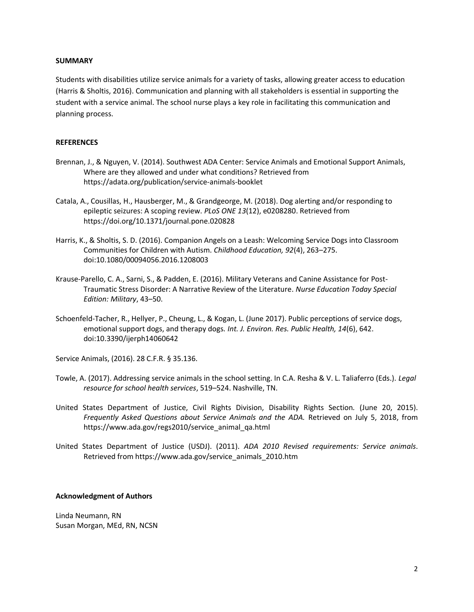#### **SUMMARY**

Students with disabilities utilize service animals for a variety of tasks, allowing greater access to education (Harris & Sholtis, 2016). Communication and planning with all stakeholders is essential in supporting the student with a service animal. The school nurse plays a key role in facilitating this communication and planning process.

#### **REFERENCES**

- Brennan, J., & Nguyen, V. (2014). Southwest ADA Center: Service Animals and Emotional Support Animals, Where are they allowed and under what conditions? Retrieved from https://adata.org/publication/service-animals-booklet
- Catala, A., Cousillas, H., Hausberger, M., & Grandgeorge, M. (2018). Dog alerting and/or responding to epileptic seizures: A scoping review. PLoS ONE 13(12), e0208280. Retrieved from https://doi.org/10.1371/journal.pone.020828
- Harris, K., & Sholtis, S. D. (2016). Companion Angels on a Leash: Welcoming Service Dogs into Classroom Communities for Children with Autism. Childhood Education, 92(4), 263–275. doi:10.1080/00094056.2016.1208003
- Krause-Parello, C. A., Sarni, S., & Padden, E. (2016). Military Veterans and Canine Assistance for Post-Traumatic Stress Disorder: A Narrative Review of the Literature. Nurse Education Today Special Edition: Military, 43–50.
- Schoenfeld-Tacher, R., Hellyer, P., Cheung, L., & Kogan, L. (June 2017). Public perceptions of service dogs, emotional support dogs, and therapy dogs. Int. J. Environ. Res. Public Health, 14(6), 642. doi:10.3390/ijerph14060642

Service Animals, (2016). 28 C.F.R. § 35.136.

- Towle, A. (2017). Addressing service animals in the school setting. In C.A. Resha & V. L. Taliaferro (Eds.). Legal resource for school health services, 519–524. Nashville, TN.
- United States Department of Justice, Civil Rights Division, Disability Rights Section. (June 20, 2015). Frequently Asked Questions about Service Animals and the ADA. Retrieved on July 5, 2018, from https://www.ada.gov/regs2010/service\_animal\_qa.html
- United States Department of Justice (USDJ). (2011). ADA 2010 Revised requirements: Service animals. Retrieved from https://www.ada.gov/service\_animals\_2010.htm

#### Acknowledgment of Authors

Linda Neumann, RN Susan Morgan, MEd, RN, NCSN